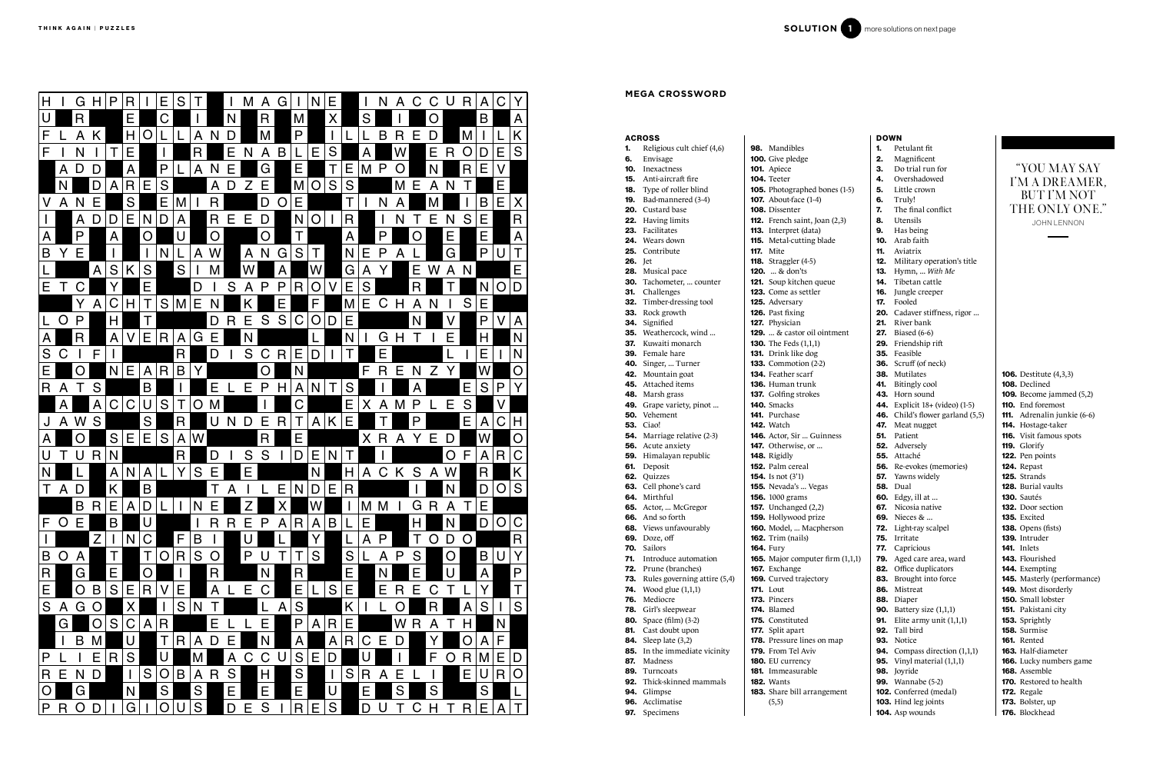|         | <b>ACROSS</b>                      |                                   |
|---------|------------------------------------|-----------------------------------|
|         | Religious cult chief (4,6)         | <b>98.</b> Mandibles              |
| 6.      | Envisage                           | <b>100.</b> Give pledge           |
|         | <b>10.</b> Inexactness             | 101. Apiece                       |
|         | <b>15.</b> Anti-aircraft fire      | 104. Teeter                       |
|         | <b>18.</b> Type of roller blind    | <b>105.</b> Photographed bones    |
|         | 19. Bad-mannered (3-4)             | <b>107.</b> About-face (1-4)      |
|         | <b>20.</b> Custard base            | 108. Dissenter                    |
|         | 22. Having limits                  | 112. French saint, Joan (2,       |
|         | 23. Facilitates                    | 113. Interpret (data)             |
|         | <b>24.</b> Wears down              | <b>115.</b> Metal-cutting blade   |
|         | 25. Contribute                     | <b>117.</b> Mite                  |
| 26. Jet |                                    | <b>118.</b> Straggler (4-5)       |
|         | 28. Musical pace                   | <b>120.</b> & don'ts              |
|         | 30. Tachometer,  counter           | 121. Soup kitchen queue           |
| 31.     | Challenges                         | <b>123.</b> Come as settler       |
|         | 32. Timber-dressing tool           | 125. Adversary                    |
|         | 33. Rock growth                    | 126. Past fixing                  |
|         | 34. Signified                      | 127. Physician                    |
|         | 35. Weathercock, wind              | <b>129.</b> & castor oil ointme   |
| 37.     | Kuwaiti monarch                    | <b>130.</b> The Feds $(1,1,1)$    |
|         | 39. Female hare                    | <b>131.</b> Drink like dog        |
|         | 40. Singer,  Turner                | <b>133.</b> Commotion $(2-2)$     |
|         | 42. Mountain goat                  | 134. Feather scarf                |
|         | 45. Attached items                 | 136. Human trunk                  |
|         | <b>48.</b> Marsh grass             | <b>137.</b> Golfing strokes       |
|         | 49. Grape variety, pinot           | 140. Smacks                       |
|         | 50. Vehement                       | <b>141.</b> Purchase              |
|         | <b>53.</b> Ciao!                   | <b>142.</b> Watch                 |
|         | <b>54.</b> Marriage relative (2-3) | <b>146.</b> Actor, Sir  Guinness  |
|         | 56. Acute anxiety                  | 147. Otherwise, or                |
|         | 59. Himalayan republic             | 148. Rigidly                      |
|         | 61. Deposit                        | 152. Palm cereal                  |
|         | 62. Quizzes                        | <b>154.</b> Is not $(3'1)$        |
|         | 63. Cell phone's card              | 155. Nevada's  Vegas              |
|         | 64. Mirthful                       | <b>156.</b> 1000 grams            |
|         | 65. Actor,  McGregor               | <b>157.</b> Unchanged $(2,2)$     |
|         | 66. And so forth                   | 159. Hollywood prize              |
|         | <b>68.</b> Views unfavourably      | 160. Model,  Macpherson           |
| 69.     | Doze, off                          | <b>162.</b> Trim (nails)          |
| 70.     | Sailors                            | <b>164. Fury</b>                  |
| 71.     | Introduce automation               | 165. Major computer firm          |
| 72.     | Prune (branches)                   | 167. Exchange                     |
| 73.     | Rules governing attire (5,4)       | 169. Curved trajectory            |
| 74.     | Wood glue $(1,1,1)$                | <b>171.</b> Lout                  |
| 76.     | Mediocre                           | 173. Pincers                      |
| 78.     | Girl's sleepwear                   | 174. Blamed                       |
| 80.     | Space (film) (3-2)                 | 175. Constituted                  |
| 81.     | Cast doubt upon                    | 177. Split apart                  |
| 84.     | Sleep late (3,2)                   | 178. Pressure lines on map        |
| 85.     | In the immediate vicinity          | 179. From Tel Aviv                |
| 87.     | Madness                            | 180. EU currency                  |
|         | 89. Turncoats                      | 181. Immeasurable                 |
|         | <b>92.</b> Thick-skinned mammals   | <b>182.</b> Wants                 |
|         | 94. Glimpse                        | <b>183.</b> Share bill arrangemer |
|         | 96. Acclimatise                    | (5,5)                             |
|         | 97. Specimens                      |                                   |

|         | <b>DOWN</b> |                                       |                                                |
|---------|-------------|---------------------------------------|------------------------------------------------|
|         | 1.          | Petulant fit                          |                                                |
|         | 2.          | Magnificent                           |                                                |
|         | з.          | Do trial run for                      | "YOU MAY SAY                                   |
|         | 4.          | Overshadowed                          | I'M A DREAMER,                                 |
| $(1-5)$ | 5.          | Little crown                          | <b>BUT I'M NOT</b>                             |
|         | 6.          | Truly!                                |                                                |
|         | 7.          | The final conflict                    | THE ONLY ONE."                                 |
| 3)      | 8.          | Utensils                              | <b>JOHN LENNON</b>                             |
|         | 9.          | Has being                             |                                                |
|         | 10.         | Arab faith                            |                                                |
|         | 11.         | Aviatrix                              |                                                |
|         | 12.         | Military operation's title            |                                                |
|         | 13.         | Hymn,  With Me                        |                                                |
|         | 14.         | Tibetan cattle                        |                                                |
|         | 16.         | Jungle creeper                        |                                                |
|         | 17.         | Fooled                                |                                                |
|         |             | 20. Cadaver stiffness, rigor          |                                                |
|         | 21.         | River bank                            |                                                |
| ent     |             | <b>27.</b> Biased (6-6)               |                                                |
|         |             | <b>29.</b> Friendship rift            |                                                |
|         |             | 35. Feasible                          |                                                |
|         |             | <b>36.</b> Scruff (of neck)           |                                                |
|         | 41.         | 38. Mutilates                         | <b>106.</b> Destitute (4,3,3)<br>108. Declined |
|         |             | Bitingly cool<br>43. Horn sound       | <b>109.</b> Become jammed $(5,2)$              |
|         |             | <b>44.</b> Explicit 18+ (video) (1-5) | 110. End foremost                              |
|         |             | 46. Child's flower garland (5,5)      | <b>111.</b> Adrenalin junkie (6-6)             |
|         | 47.         | Meat nugget                           | 114. Hostage-taker                             |
|         | 51.         | Patient                               | 116. Visit famous spots                        |
|         |             | 52. Adversely                         | 119. Glorify                                   |
|         |             | 55. Attaché                           | 122. Pen points                                |
|         |             | <b>56.</b> Re-evokes (memories)       | 124. Repast                                    |
|         | 57.         | Yawns widely                          | <b>125.</b> Strands                            |
|         |             | <b>58.</b> Dual                       | 128. Burial vaults                             |
|         |             | <b>60.</b> Edgy, ill at               | 130. Sautés                                    |
|         | 67.         | Nicosia native                        | <b>132.</b> Door section                       |
|         |             | <b>69.</b> Nieces &                   | <b>135.</b> Excited                            |
| n       |             | <b>72.</b> Light-ray scalpel          | <b>138.</b> Opens (fists)                      |
|         |             | 75. Irritate                          | 139. Intruder                                  |
|         | 77.         | Capricious                            | <b>141.</b> Inlets                             |
| (1,1,1) | 79.         | Aged care area, ward                  | 143. Flourished                                |
|         | 82.         | Office duplicators                    | 144. Exempting                                 |
|         | 83.         | Brought into force                    | 145. Masterly (performance)                    |
|         | 86.         | Mistreat                              | <b>149.</b> Most disorderly                    |
|         | 88.         | Diaper                                | 150. Small lobster                             |
|         | 90.         | Battery size (1,1,1)                  | 151. Pakistani city                            |
|         | 91.         | Elite army unit $(1,1,1)$             | 153. Sprightly                                 |
|         | 92.         | Tall bird                             | 158. Surmise                                   |
| p       |             | 93. Notice                            | <b>161.</b> Rented                             |
|         |             | <b>94.</b> Compass direction (1,1,1)  | 163. Half-diameter                             |
|         |             | <b>95.</b> Vinyl material (1,1,1)     | 166. Lucky numbers game                        |
|         |             | 98. Joyride                           | 168. Assemble                                  |
|         |             | <b>99.</b> Wannabe (5-2)              | <b>170.</b> Restored to health                 |
| nt      |             | 102. Conferred (medal)                | 172. Regale                                    |
|         |             | 103. Hind leg joints                  | 173. Bolster, up                               |
|         |             | 104. Asp wounds                       | 176. Blockhead                                 |



### **MEGA CROSSWORD**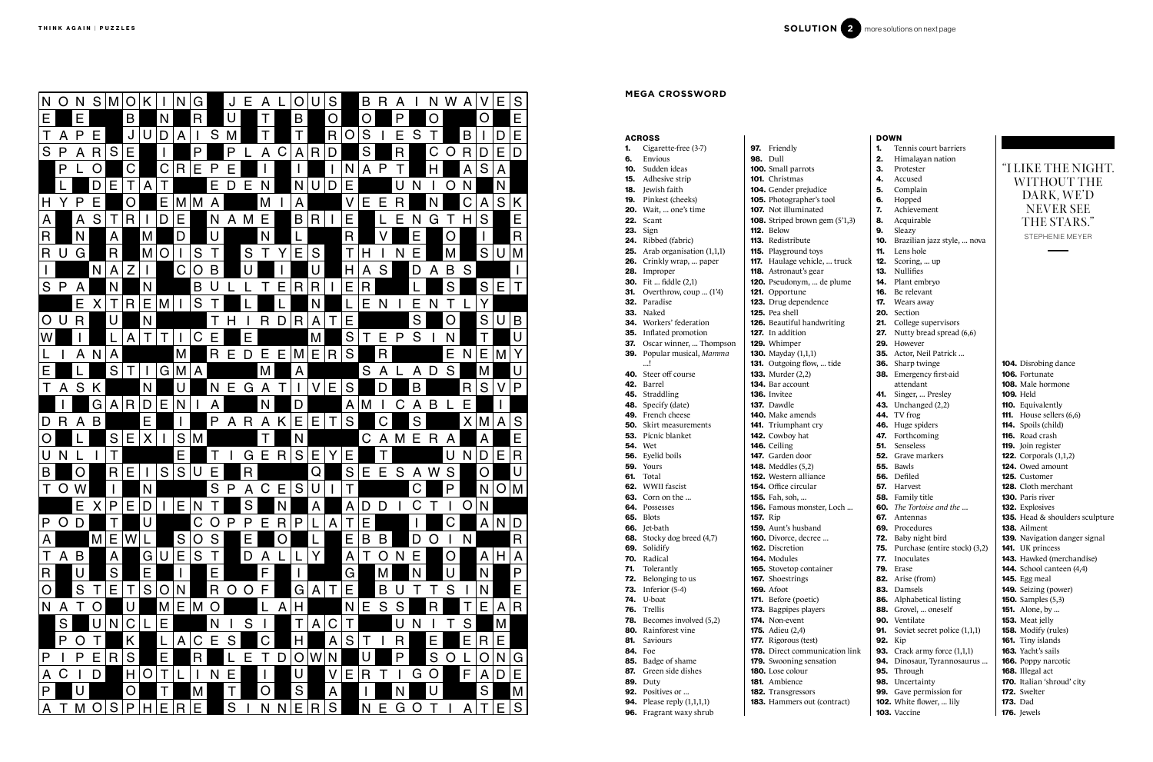# ACROSS

- 1. Cigarette-free (3-7) 6. Envious 10. Sudden ideas
- 15. Adhesive strip
- 18. Jewish faith
- 19. Pinkest (cheeks)
- **20.** Wait, ... one's time
- 22. Scant
- **23.** Sign
- 24. Ribbed (fabric)
- **25.** Arab organisation  $(1,1,1)$
- 26. Crinkly wrap, ... paper
- 28. Improper
- **30.** Fit ... fiddle (2,1)
- **31.** Overthrow, coup ... (1'4)
- 32. Paradise
- 33. Naked
- 34. Workers' federation
- 35. Inflated promotion
- 37. Oscar winner, ... Thompson
- 39. Popular musical, *Mamma*
- $\blacksquare$
- 40. Steer off course
- 42. Barrel 45. Straddling
- 48. Specify (date)
- 49. French cheese
- **50.** Skirt measurements
- 53. Picnic blanket
- 54. Wet
- 56. Eyelid boils
- **59.** Yours
- **61.** Total
- 62. WWII fascist
- **63.** Corn on the ...
- 64. Possesses
- 65. Blots
- 66. Jet-bath

85. Badge of shame 87. Green side dishes

89. Duty 92. Positives or ...

70. Radical 71. Tolerantly

- 68. Stocky dog breed (4,7) 69. Solidify
	-
	- -
- 72. Belonging to us 73. Inferior (5-4)
- 74. U-boat
- 76. Trellis

84. Foe

# N DIRECTION NATURE RELATIONS IN THE RELATION CONTINUES IN THE RELATION CONTINUES IN THE RELATION OF THE RELATIONS IN THE RELATIONS IN THE RELATIONS IN THE RELATIONS IN THE RELATIONS IN THE RELATIONS IN THE RELATIONS IN THE

- 78. Becomes involved (5,2)
- 80. Rainforest vine 81. Saviours
	- - 178. Direct communi
		- 179. Swooning sensat
		- 180. Lose colour
			-
		-
	- 183. Hammers out (c
- **94.** Please reply  $(1,1,1,1)$ **96.** Fragrant waxy shrub
- 160. Divorce, decree 162. Discretion 164. Modules 165. Stovetop contain 167. Shoestrings 169. Afoot 171. Before (poetic) 173. Bagpipes players 174. Non-event

- 
- 175. Adieu (2,4)
- 
- 177. Rigorous (test)
- 
- 
- 
- 181. Ambience
- 
- 182. Transgressors
- 
- 



| <b>DOWN</b>     |                                                           |            |                                                            |  |                                       |
|-----------------|-----------------------------------------------------------|------------|------------------------------------------------------------|--|---------------------------------------|
| 97.             | Friendly                                                  | 1.         | Tennis court barriers                                      |  |                                       |
|                 | <b>98.</b> Dull                                           | 2.         | Himalayan nation                                           |  |                                       |
|                 | <b>100.</b> Small parrots                                 | З.         | Protester                                                  |  | "I LIKE T                             |
|                 | 101. Christmas                                            | 4.         | Accused                                                    |  | WITH                                  |
|                 | 104. Gender prejudice                                     | 5.         | Complain                                                   |  | DAR                                   |
|                 | 105. Photographer's tool                                  | 6.         | Hopped                                                     |  |                                       |
|                 | <b>107.</b> Not illuminated                               | 7.         | Achievement                                                |  | <b>NEV</b>                            |
|                 | <b>108.</b> Striped brown gem $(5^2, 1, 3)$               | 8.         | Acquirable                                                 |  | THE                                   |
|                 | <b>112.</b> Below                                         | 9.         | Sleazy                                                     |  | <b>STEPH</b>                          |
|                 | <b>113.</b> Redistribute                                  | 10.        | Brazilian jazz style,  nova                                |  |                                       |
|                 | <b>115.</b> Playground toys                               | 11.        | Lens hole                                                  |  |                                       |
|                 | 117. Haulage vehicle,  truck<br>118. Astronaut's gear     | 12.<br>13. | Scoring,  up<br><b>Nullifies</b>                           |  |                                       |
|                 | 120. Pseudonym,  de plume                                 | 14.        | Plant embryo                                               |  |                                       |
|                 | 121. Opportune                                            | 16.        | Be relevant                                                |  |                                       |
|                 | 123. Drug dependence                                      | 17.        | Wears away                                                 |  |                                       |
|                 | <b>125.</b> Pea shell                                     |            | 20. Section                                                |  |                                       |
|                 | <b>126.</b> Beautiful handwriting                         | 21.        | College supervisors                                        |  |                                       |
|                 | <b>127.</b> In addition                                   | 27.        | Nutty bread spread (6,6)                                   |  |                                       |
|                 | 129. Whimper                                              | 29.        | However                                                    |  |                                       |
|                 | <b>130.</b> Mayday (1,1,1)                                | 35.        | Actor, Neil Patrick                                        |  |                                       |
|                 | 131. Outgoing flow,  tide                                 | 36.        | Sharp twinge                                               |  | <b>104.</b> Disrobir                  |
|                 | <b>133.</b> Murder (2,2)                                  |            | 38. Emergency first-aid                                    |  | 106. Fortuna                          |
|                 | <b>134.</b> Bar account                                   |            | attendant                                                  |  | <b>108.</b> Male ho                   |
|                 | 136. Invitee                                              | 41.        | Singer,  Presley                                           |  | <b>109. Held</b>                      |
|                 | <b>137.</b> Dawdle                                        |            | <b>43.</b> Unchanged (2,2)                                 |  | <b>110.</b> Equivale                  |
|                 | <b>140.</b> Make amends                                   |            | <b>44.</b> TV frog                                         |  | 111. House so                         |
|                 | <b>141.</b> Triumphant cry                                |            | 46. Huge spiders                                           |  | <b>114.</b> Spoils $(c)$              |
|                 | 142. Cowboy hat                                           | 47.        | Forthcoming                                                |  | 116. Road cra                         |
|                 | 146. Ceiling                                              | 51.        | Senseless                                                  |  | <b>119.</b> Join regi                 |
|                 | <b>147.</b> Garden door                                   | 52.        | Grave markers                                              |  | 122. Corpora                          |
|                 | <b>148.</b> Meddles (5,2)                                 |            | <b>55.</b> Bawls                                           |  | <b>124.</b> Owed ar                   |
|                 | <b>152.</b> Western alliance                              |            | 56. Defiled                                                |  | 125. Custome                          |
|                 | <b>154.</b> Office circular                               | 57.        | Harvest                                                    |  | <b>128.</b> Cloth m<br>130. Paris riv |
|                 | <b>155.</b> Fah, soh,<br><b>156.</b> Famous monster, Loch |            | <b>58.</b> Family title<br><b>60.</b> The Tortoise and the |  | 132. Explosiv                         |
| <b>157.</b> Rip |                                                           | 67.        | Antennas                                                   |  | <b>135.</b> Head &                    |
|                 | <b>159.</b> Aunt's husband                                |            | 69. Procedures                                             |  | 138. Ailment                          |
|                 | <b>160.</b> Divorce, decree                               | 72.        | Baby night bird                                            |  | <b>139.</b> Navigati                  |
|                 | 162. Discretion                                           | 75.        | Purchase (entire stock) (3,2)                              |  | <b>141.</b> UK prin                   |
|                 | 164. Modules                                              | 77.        | Inoculates                                                 |  | 143. Hawked                           |
|                 | 165. Stovetop container                                   | 79.        | Erase                                                      |  | 144. School c                         |
|                 | <b>167.</b> Shoestrings                                   | 82.        | Arise (from)                                               |  | <b>145.</b> Egg mea                   |
|                 | <b>169. Afoot</b>                                         |            | 83. Damsels                                                |  | 149. Seizing                          |
|                 | 171. Before (poetic)                                      | 86.        | Alphabetical listing                                       |  | 150. Samples                          |
|                 | 173. Bagpipes players                                     | 88.        | Grovel,  oneself                                           |  | <b>151.</b> Alone, b                  |
|                 | 174. Non-event                                            | 90.        | Ventilate                                                  |  | 153. Meat jel                         |
|                 | <b>175.</b> Adieu $(2,4)$                                 | 91.        | Soviet secret police (1,1,1)                               |  | <b>158. Modify</b>                    |
|                 | 177. Rigorous (test)                                      | 92.        | Kip                                                        |  | 161. Tiny isla                        |
|                 | 178. Direct communication link                            | 93.        | Crack army force (1,1,1)                                   |  | <b>163.</b> Yacht's s                 |
|                 | <b>179.</b> Swooning sensation                            | 94.        | Dinosaur, Tyrannosaurus                                    |  | <b>166.</b> Poppy n                   |
|                 | 180. Lose colour                                          | 95.        | Through                                                    |  | 168. Illegal a                        |
|                 | 181. Ambience                                             |            | 98. Uncertainty                                            |  | 170. Italian 's                       |
|                 | 182. Transgressors                                        |            | 99. Gave permission for                                    |  | 172. Swelter                          |
|                 | 183. Hammers out (contract)                               |            | 102. White flower,  lily<br>103. Vaccine                   |  | <b>173.</b> Dad<br>176. Jewels        |
|                 |                                                           |            |                                                            |  |                                       |

# THE NIGHT. IOUT THE K. WE'D NEVER SEE STARS.'

HENIE MEYER

ng dance ate ormone lently sellers (6,6) child) rash ister:  $als (1,1,2)$ nount 1er nerchant ver ves shoulders sculpture tion danger signal ncess (merchandise) canteen (4,4) **145.** Egg meal (power)  $(5,3)$ by  $\ldots$ elly (rules) ands sails narcotic act 'shroud' city

# **MEGA CROSSWORD**